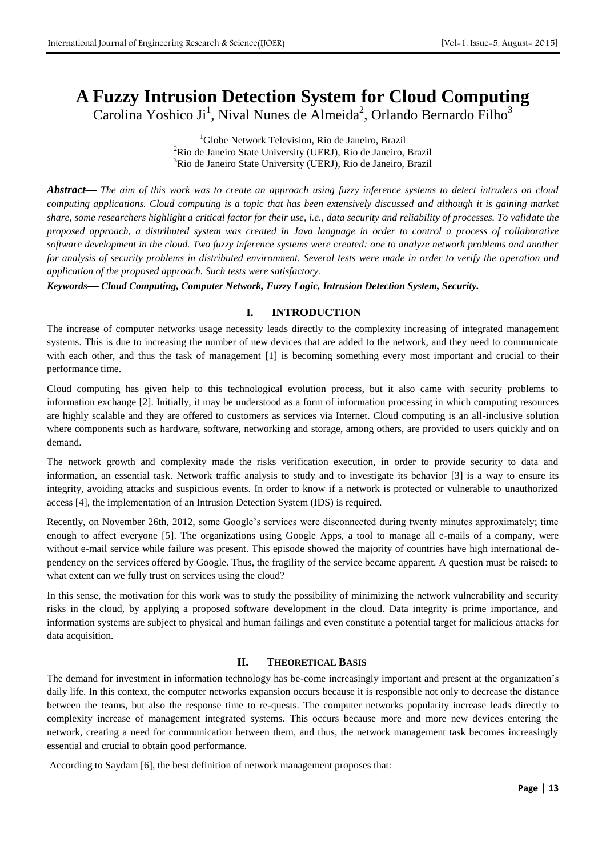# **A Fuzzy Intrusion Detection System for Cloud Computing**

Carolina Yoshico Ji<sup>1</sup>, Nival Nunes de Almeida<sup>2</sup>, Orlando Bernardo Filho<sup>3</sup>

<sup>1</sup>Globe Network Television, Rio de Janeiro, Brazil <sup>2</sup>Rio de Janeiro State University (UERJ), Rio de Janeiro, Brazil <sup>3</sup>Rio de Janeiro State University (UERJ), Rio de Janeiro, Brazil

*Abstract***—** *The aim of this work was to create an approach using fuzzy inference systems to detect intruders on cloud computing applications. Cloud computing is a topic that has been extensively discussed and although it is gaining market share, some researchers highlight a critical factor for their use, i.e., data security and reliability of processes. To validate the proposed approach, a distributed system was created in Java language in order to control a process of collaborative software development in the cloud. Two fuzzy inference systems were created: one to analyze network problems and another for analysis of security problems in distributed environment. Several tests were made in order to verify the operation and application of the proposed approach. Such tests were satisfactory.*

*Keywords***—** *Cloud Computing, Computer Network, Fuzzy Logic, Intrusion Detection System, Security.*

# **I. INTRODUCTION**

The increase of computer networks usage necessity leads directly to the complexity increasing of integrated management systems. This is due to increasing the number of new devices that are added to the network, and they need to communicate with each other, and thus the task of management [1] is becoming something every most important and crucial to their performance time.

Cloud computing has given help to this technological evolution process, but it also came with security problems to information exchange [2]. Initially, it may be understood as a form of information processing in which computing resources are highly scalable and they are offered to customers as services via Internet. Cloud computing is an all-inclusive solution where components such as hardware, software, networking and storage, among others, are provided to users quickly and on demand.

The network growth and complexity made the risks verification execution, in order to provide security to data and information, an essential task. Network traffic analysis to study and to investigate its behavior [3] is a way to ensure its integrity, avoiding attacks and suspicious events. In order to know if a network is protected or vulnerable to unauthorized access [4], the implementation of an Intrusion Detection System (IDS) is required.

Recently, on November 26th, 2012, some Google's services were disconnected during twenty minutes approximately; time enough to affect everyone [5]. The organizations using Google Apps, a tool to manage all e-mails of a company, were without e-mail service while failure was present. This episode showed the majority of countries have high international dependency on the services offered by Google. Thus, the fragility of the service became apparent. A question must be raised: to what extent can we fully trust on services using the cloud?

In this sense, the motivation for this work was to study the possibility of minimizing the network vulnerability and security risks in the cloud, by applying a proposed software development in the cloud. Data integrity is prime importance, and information systems are subject to physical and human failings and even constitute a potential target for malicious attacks for data acquisition.

## **II. THEORETICAL BASIS**

The demand for investment in information technology has be-come increasingly important and present at the organization's daily life. In this context, the computer networks expansion occurs because it is responsible not only to decrease the distance between the teams, but also the response time to re-quests. The computer networks popularity increase leads directly to complexity increase of management integrated systems. This occurs because more and more new devices entering the network, creating a need for communication between them, and thus, the network management task becomes increasingly essential and crucial to obtain good performance.

According to Saydam [6], the best definition of network management proposes that: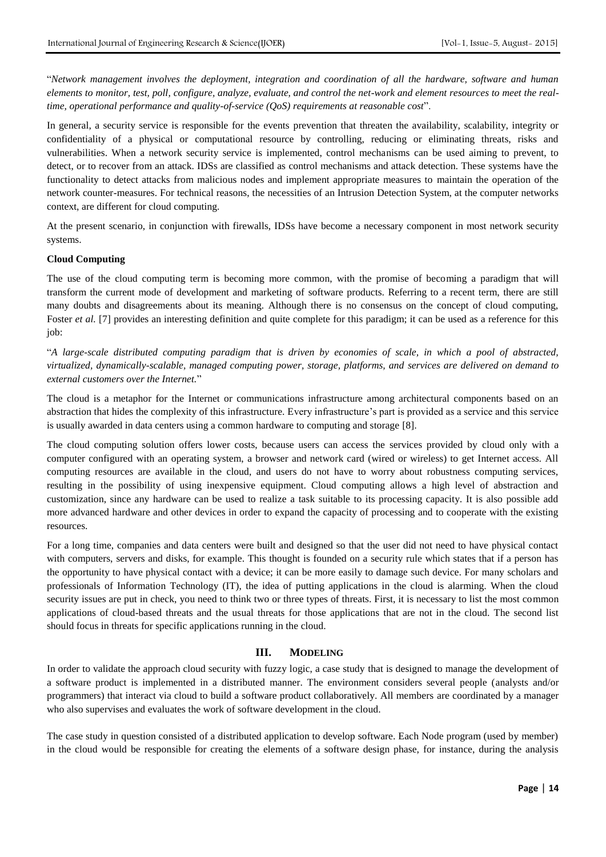"*Network management involves the deployment, integration and coordination of all the hardware, software and human elements to monitor, test, poll, configure, analyze, evaluate, and control the net-work and element resources to meet the realtime, operational performance and quality-of-service (QoS) requirements at reasonable cost*".

In general, a security service is responsible for the events prevention that threaten the availability, scalability, integrity or confidentiality of a physical or computational resource by controlling, reducing or eliminating threats, risks and vulnerabilities. When a network security service is implemented, control mechanisms can be used aiming to prevent, to detect, or to recover from an attack. IDSs are classified as control mechanisms and attack detection. These systems have the functionality to detect attacks from malicious nodes and implement appropriate measures to maintain the operation of the network counter-measures. For technical reasons, the necessities of an Intrusion Detection System, at the computer networks context, are different for cloud computing.

At the present scenario, in conjunction with firewalls, IDSs have become a necessary component in most network security systems.

#### **Cloud Computing**

The use of the cloud computing term is becoming more common, with the promise of becoming a paradigm that will transform the current mode of development and marketing of software products. Referring to a recent term, there are still many doubts and disagreements about its meaning. Although there is no consensus on the concept of cloud computing, Foster *et al.* [7] provides an interesting definition and quite complete for this paradigm; it can be used as a reference for this job:

"*A large-scale distributed computing paradigm that is driven by economies of scale, in which a pool of abstracted, virtualized, dynamically-scalable, managed computing power, storage, platforms, and services are delivered on demand to external customers over the Internet.*"

The cloud is a metaphor for the Internet or communications infrastructure among architectural components based on an abstraction that hides the complexity of this infrastructure. Every infrastructure's part is provided as a service and this service is usually awarded in data centers using a common hardware to computing and storage [8].

The cloud computing solution offers lower costs, because users can access the services provided by cloud only with a computer configured with an operating system, a browser and network card (wired or wireless) to get Internet access. All computing resources are available in the cloud, and users do not have to worry about robustness computing services, resulting in the possibility of using inexpensive equipment. Cloud computing allows a high level of abstraction and customization, since any hardware can be used to realize a task suitable to its processing capacity. It is also possible add more advanced hardware and other devices in order to expand the capacity of processing and to cooperate with the existing resources.

For a long time, companies and data centers were built and designed so that the user did not need to have physical contact with computers, servers and disks, for example. This thought is founded on a security rule which states that if a person has the opportunity to have physical contact with a device; it can be more easily to damage such device. For many scholars and professionals of Information Technology (IT), the idea of putting applications in the cloud is alarming. When the cloud security issues are put in check, you need to think two or three types of threats. First, it is necessary to list the most common applications of cloud-based threats and the usual threats for those applications that are not in the cloud. The second list should focus in threats for specific applications running in the cloud.

## **III. MODELING**

In order to validate the approach cloud security with fuzzy logic, a case study that is designed to manage the development of a software product is implemented in a distributed manner. The environment considers several people (analysts and/or programmers) that interact via cloud to build a software product collaboratively. All members are coordinated by a manager who also supervises and evaluates the work of software development in the cloud.

The case study in question consisted of a distributed application to develop software. Each Node program (used by member) in the cloud would be responsible for creating the elements of a software design phase, for instance, during the analysis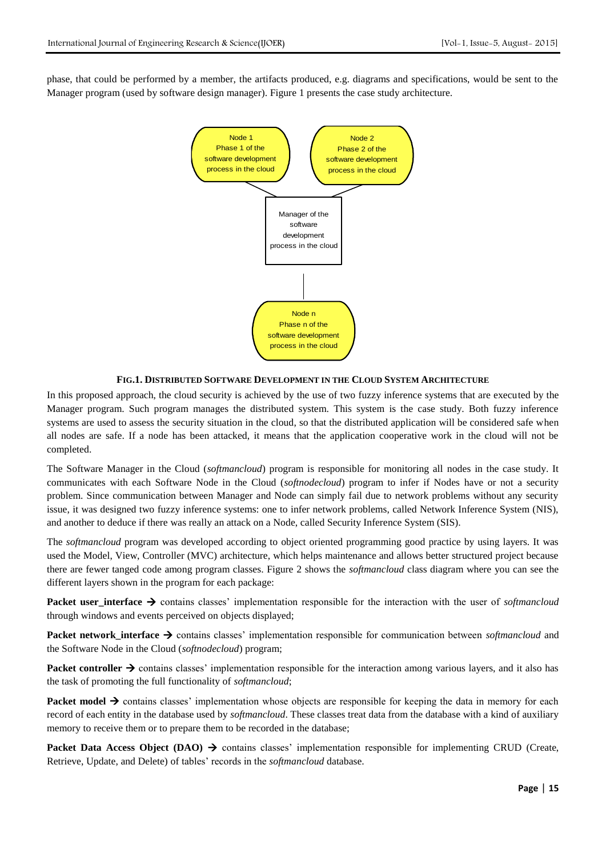phase, that could be performed by a member, the artifacts produced, e.g. diagrams and specifications, would be sent to the Manager program (used by software design manager). Figure 1 presents the case study architecture.



### **FIG.1. DISTRIBUTED SOFTWARE DEVELOPMENT IN THE CLOUD SYSTEM ARCHITECTURE**

In this proposed approach, the cloud security is achieved by the use of two fuzzy inference systems that are executed by the Manager program. Such program manages the distributed system. This system is the case study. Both fuzzy inference systems are used to assess the security situation in the cloud, so that the distributed application will be considered safe when all nodes are safe. If a node has been attacked, it means that the application cooperative work in the cloud will not be completed.

The Software Manager in the Cloud (*softmancloud*) program is responsible for monitoring all nodes in the case study. It communicates with each Software Node in the Cloud (*softnodecloud*) program to infer if Nodes have or not a security problem. Since communication between Manager and Node can simply fail due to network problems without any security issue, it was designed two fuzzy inference systems: one to infer network problems, called Network Inference System (NIS), and another to deduce if there was really an attack on a Node, called Security Inference System (SIS).

The *softmancloud* program was developed according to object oriented programming good practice by using layers. It was used the Model, View, Controller (MVC) architecture, which helps maintenance and allows better structured project because there are fewer tanged code among program classes. Figure 2 shows the *softmancloud* class diagram where you can see the different layers shown in the program for each package:

**Packet user\_interface**  $\rightarrow$  contains classes' implementation responsible for the interaction with the user of *softmancloud* through windows and events perceived on objects displayed;

**Packet network\_interface →** contains classes' implementation responsible for communication between *softmancloud* and the Software Node in the Cloud (*softnodecloud*) program;

**Packet controller**  $\rightarrow$  **contains classes' implementation responsible for the interaction among various layers, and it also has** the task of promoting the full functionality of *softmancloud*;

**Packet model**  $\rightarrow$  **contains classes' implementation whose objects are responsible for keeping the data in memory for each** record of each entity in the database used by *softmancloud*. These classes treat data from the database with a kind of auxiliary memory to receive them or to prepare them to be recorded in the database;

**Packet Data Access Object (DAO)**  $\rightarrow$  **contains classes' implementation responsible for implementing CRUD (Create,** Retrieve, Update, and Delete) of tables' records in the *softmancloud* database.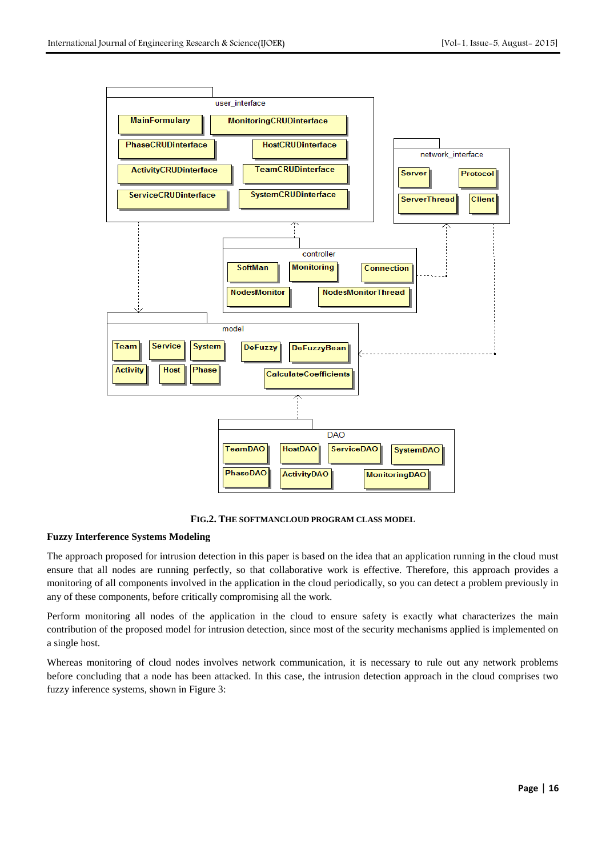

**FIG.2. THE SOFTMANCLOUD PROGRAM CLASS MODEL**

## **Fuzzy Interference Systems Modeling**

The approach proposed for intrusion detection in this paper is based on the idea that an application running in the cloud must ensure that all nodes are running perfectly, so that collaborative work is effective. Therefore, this approach provides a monitoring of all components involved in the application in the cloud periodically, so you can detect a problem previously in any of these components, before critically compromising all the work.

Perform monitoring all nodes of the application in the cloud to ensure safety is exactly what characterizes the main contribution of the proposed model for intrusion detection, since most of the security mechanisms applied is implemented on a single host.

Whereas monitoring of cloud nodes involves network communication, it is necessary to rule out any network problems before concluding that a node has been attacked. In this case, the intrusion detection approach in the cloud comprises two fuzzy inference systems, shown in Figure 3: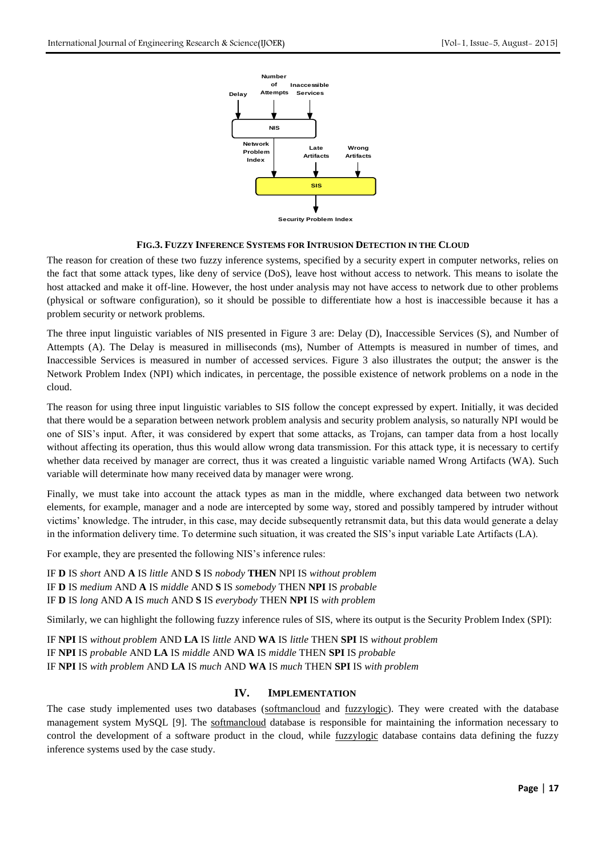

### **FIG.3. FUZZY INFERENCE SYSTEMS FOR INTRUSION DETECTION IN THE CLOUD**

The reason for creation of these two fuzzy inference systems, specified by a security expert in computer networks, relies on the fact that some attack types, like deny of service (DoS), leave host without access to network. This means to isolate the host attacked and make it off-line. However, the host under analysis may not have access to network due to other problems (physical or software configuration), so it should be possible to differentiate how a host is inaccessible because it has a problem security or network problems.

The three input linguistic variables of NIS presented in Figure 3 are: Delay (D), Inaccessible Services (S), and Number of Attempts (A). The Delay is measured in milliseconds (ms), Number of Attempts is measured in number of times, and Inaccessible Services is measured in number of accessed services. Figure 3 also illustrates the output; the answer is the Network Problem Index (NPI) which indicates, in percentage, the possible existence of network problems on a node in the cloud.

The reason for using three input linguistic variables to SIS follow the concept expressed by expert. Initially, it was decided that there would be a separation between network problem analysis and security problem analysis, so naturally NPI would be one of SIS's input. After, it was considered by expert that some attacks, as Trojans, can tamper data from a host locally without affecting its operation, thus this would allow wrong data transmission. For this attack type, it is necessary to certify whether data received by manager are correct, thus it was created a linguistic variable named Wrong Artifacts (WA). Such variable will determinate how many received data by manager were wrong.

Finally, we must take into account the attack types as man in the middle, where exchanged data between two network elements, for example, manager and a node are intercepted by some way, stored and possibly tampered by intruder without victims' knowledge. The intruder, in this case, may decide subsequently retransmit data, but this data would generate a delay in the information delivery time. To determine such situation, it was created the SIS's input variable Late Artifacts (LA).

For example, they are presented the following NIS's inference rules:

IF **D** IS *short* AND **A** IS *little* AND **S** IS *nobody* **THEN** NPI IS *without problem* IF **D** IS *medium* AND **A** IS *middle* AND **S** IS *somebody* THEN **NPI** IS *probable* IF **D** IS *long* AND **A** IS *much* AND **S** IS *everybody* THEN **NPI** IS *with problem*

Similarly, we can highlight the following fuzzy inference rules of SIS, where its output is the Security Problem Index (SPI):

IF **NPI** IS *without problem* AND **LA** IS *little* AND **WA** IS *little* THEN **SPI** IS *without problem* IF **NPI** IS *probable* AND **LA** IS *middle* AND **WA** IS *middle* THEN **SPI** IS *probable* IF **NPI** IS *with problem* AND **LA** IS *much* AND **WA** IS *much* THEN **SPI** IS *with problem*

## **IV. IMPLEMENTATION**

The case study implemented uses two databases (softmancloud and fuzzylogic). They were created with the database management system MySQL [9]. The softmancloud database is responsible for maintaining the information necessary to control the development of a software product in the cloud, while *fuzzylogic* database contains data defining the fuzzy inference systems used by the case study.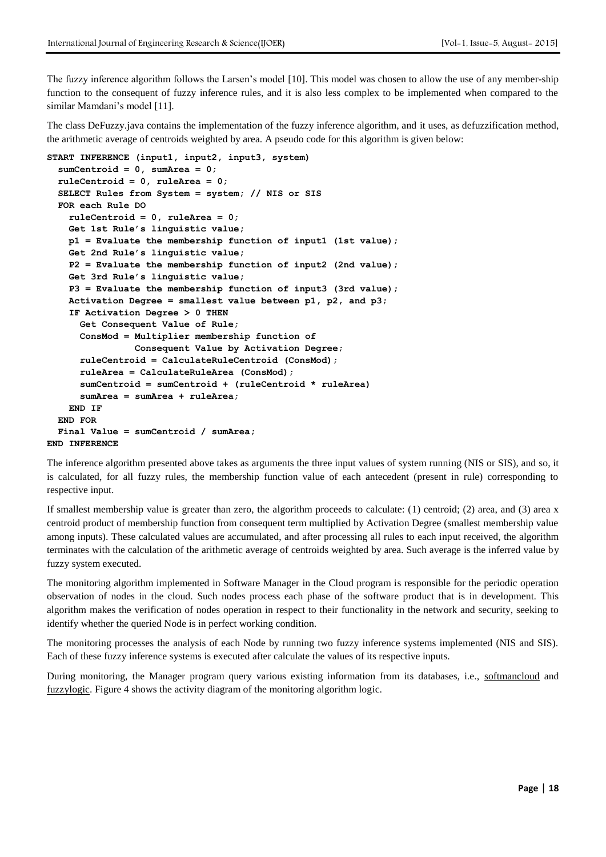The fuzzy inference algorithm follows the Larsen's model [10]. This model was chosen to allow the use of any member-ship function to the consequent of fuzzy inference rules, and it is also less complex to be implemented when compared to the similar Mamdani's model [11].

The class DeFuzzy.java contains the implementation of the fuzzy inference algorithm, and it uses, as defuzzification method, the arithmetic average of centroids weighted by area. A pseudo code for this algorithm is given below:

```
START INFERENCE (input1, input2, input3, system)
   sumCentroid = 0, sumArea = 0; 
  ruleCentroid = 0, ruleArea = 0;
   SELECT Rules from System = system; // NIS or SIS
   FOR each Rule DO
     ruleCentroid = 0, ruleArea = 0;
     Get 1st Rule's linguistic value;
    p1 = Evaluate the membership function of input1 (1st value);
     Get 2nd Rule's linguistic value;
     P2 = Evaluate the membership function of input2 (2nd value);
     Get 3rd Rule's linguistic value;
     P3 = Evaluate the membership function of input3 (3rd value);
     Activation Degree = smallest value between p1, p2, and p3;
     IF Activation Degree > 0 THEN
       Get Consequent Value of Rule;
       ConsMod = Multiplier membership function of 
                 Consequent Value by Activation Degree;
       ruleCentroid = CalculateRuleCentroid (ConsMod);
       ruleArea = CalculateRuleArea (ConsMod);
       sumCentroid = sumCentroid + (ruleCentroid * ruleArea) 
       sumArea = sumArea + ruleArea;
     END IF
  END FOR
   Final Value = sumCentroid / sumArea;
END INFERENCE
```
The inference algorithm presented above takes as arguments the three input values of system running (NIS or SIS), and so, it is calculated, for all fuzzy rules, the membership function value of each antecedent (present in rule) corresponding to respective input.

If smallest membership value is greater than zero, the algorithm proceeds to calculate: (1) centroid; (2) area, and (3) area x centroid product of membership function from consequent term multiplied by Activation Degree (smallest membership value among inputs). These calculated values are accumulated, and after processing all rules to each input received, the algorithm terminates with the calculation of the arithmetic average of centroids weighted by area. Such average is the inferred value by fuzzy system executed.

The monitoring algorithm implemented in Software Manager in the Cloud program is responsible for the periodic operation observation of nodes in the cloud. Such nodes process each phase of the software product that is in development. This algorithm makes the verification of nodes operation in respect to their functionality in the network and security, seeking to identify whether the queried Node is in perfect working condition.

The monitoring processes the analysis of each Node by running two fuzzy inference systems implemented (NIS and SIS). Each of these fuzzy inference systems is executed after calculate the values of its respective inputs.

During monitoring, the Manager program query various existing information from its databases, i.e., softmancloud and fuzzylogic. Figure 4 shows the activity diagram of the monitoring algorithm logic.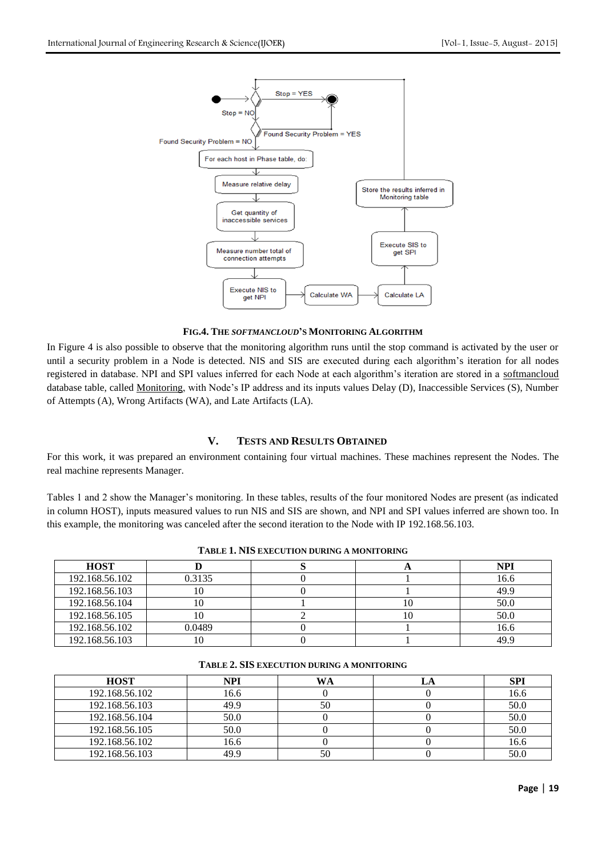

**FIG.4. THE** *SOFTMANCLOUD***'S MONITORING ALGORITHM**

In Figure 4 is also possible to observe that the monitoring algorithm runs until the stop command is activated by the user or until a security problem in a Node is detected. NIS and SIS are executed during each algorithm's iteration for all nodes registered in database. NPI and SPI values inferred for each Node at each algorithm's iteration are stored in a softmancloud database table, called Monitoring, with Node's IP address and its inputs values Delay (D), Inaccessible Services (S), Number of Attempts (A), Wrong Artifacts (WA), and Late Artifacts (LA).

# **V. TESTS AND RESULTS OBTAINED**

For this work, it was prepared an environment containing four virtual machines. These machines represent the Nodes. The real machine represents Manager.

Tables 1 and 2 show the Manager's monitoring. In these tables, results of the four monitored Nodes are present (as indicated in column HOST), inputs measured values to run NIS and SIS are shown, and NPI and SPI values inferred are shown too. In this example, the monitoring was canceled after the second iteration to the Node with IP 192.168.56.103.

| <b>HOST</b>    |        |    | <b>NPI</b> |
|----------------|--------|----|------------|
| 192.168.56.102 | 0.3135 |    | 16.6       |
| 192.168.56.103 | 10     |    | 49.9       |
| 192.168.56.104 | 1U.    | 10 | 50.0       |
| 192.168.56.105 | ΙU     | 10 | 50.0       |
| 192.168.56.102 | 0.0489 |    | 16.6       |
| 192.168.56.103 | l ()   |    | 49.9       |

**TABLE 1. NIS EXECUTION DURING A MONITORING**

| <b>HOST</b>    | <b>NPI</b> | WA | SPI  |
|----------------|------------|----|------|
| 192.168.56.102 | 16.6       |    | 16.6 |
| 192.168.56.103 | 49.9       | 50 | 50.0 |
| 192.168.56.104 | 50.0       |    | 50.0 |
| 192.168.56.105 | 50.0       |    | 50.0 |
| 192.168.56.102 | 16.6       |    | 16.6 |
| 192.168.56.103 | 49.9       |    | 50.C |

#### **TABLE 2. SIS EXECUTION DURING A MONITORING**